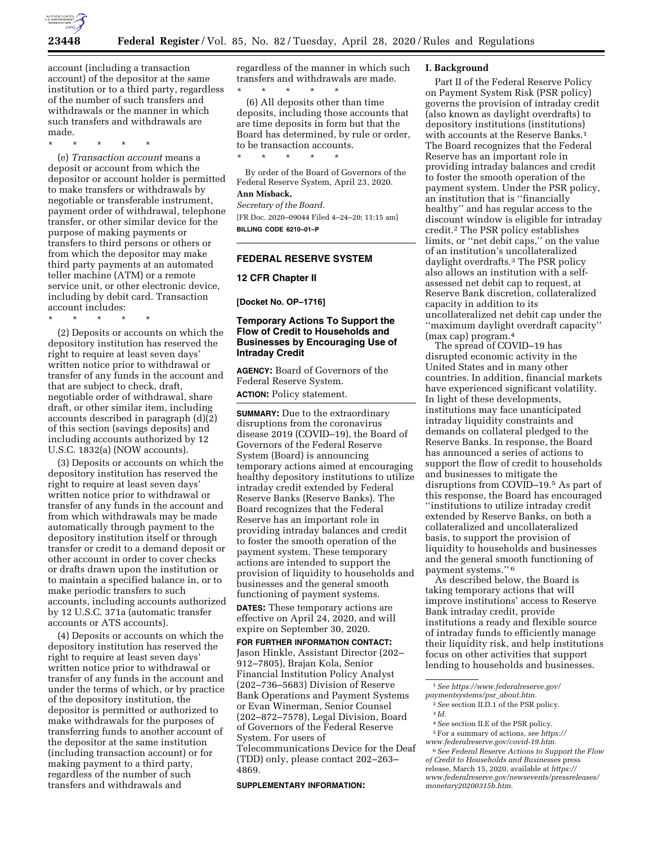

account (including a transaction account) of the depositor at the same institution or to a third party, regardless of the number of such transfers and withdrawals or the manner in which such transfers and withdrawals are made.

\* \* \* \* \*

(e) *Transaction account* means a deposit or account from which the depositor or account holder is permitted to make transfers or withdrawals by negotiable or transferable instrument, payment order of withdrawal, telephone transfer, or other similar device for the purpose of making payments or transfers to third persons or others or from which the depositor may make third party payments at an automated teller machine (ATM) or a remote service unit, or other electronic device, including by debit card. Transaction account includes:

\* \* \* \* \*

(2) Deposits or accounts on which the depository institution has reserved the right to require at least seven days' written notice prior to withdrawal or transfer of any funds in the account and that are subject to check, draft, negotiable order of withdrawal, share draft, or other similar item, including accounts described in paragraph (d)(2) of this section (savings deposits) and including accounts authorized by 12 U.S.C. 1832(a) (NOW accounts).

(3) Deposits or accounts on which the depository institution has reserved the right to require at least seven days' written notice prior to withdrawal or transfer of any funds in the account and from which withdrawals may be made automatically through payment to the depository institution itself or through transfer or credit to a demand deposit or other account in order to cover checks or drafts drawn upon the institution or to maintain a specified balance in, or to make periodic transfers to such accounts, including accounts authorized by 12 U.S.C. 371a (automatic transfer accounts or ATS accounts).

(4) Deposits or accounts on which the depository institution has reserved the right to require at least seven days' written notice prior to withdrawal or transfer of any funds in the account and under the terms of which, or by practice of the depository institution, the depositor is permitted or authorized to make withdrawals for the purposes of transferring funds to another account of the depositor at the same institution (including transaction account) or for making payment to a third party, regardless of the number of such transfers and withdrawals and

regardless of the manner in which such transfers and withdrawals are made. \* \* \* \* \*

(6) All deposits other than time deposits, including those accounts that are time deposits in form but that the Board has determined, by rule or order, to be transaction accounts.

By order of the Board of Governors of the Federal Reserve System, April 23, 2020.

## **Ann Misback,**

\* \* \* \* \*

*Secretary of the Board.*  [FR Doc. 2020–09044 Filed 4–24–20; 11:15 am] **BILLING CODE 6210–01–P** 

### **FEDERAL RESERVE SYSTEM**

#### **12 CFR Chapter II**

**[Docket No. OP–1716]** 

## **Temporary Actions To Support the Flow of Credit to Households and Businesses by Encouraging Use of Intraday Credit**

**AGENCY:** Board of Governors of the Federal Reserve System.

**ACTION:** Policy statement.

**SUMMARY:** Due to the extraordinary disruptions from the coronavirus disease 2019 (COVID–19), the Board of Governors of the Federal Reserve System (Board) is announcing temporary actions aimed at encouraging healthy depository institutions to utilize intraday credit extended by Federal Reserve Banks (Reserve Banks). The Board recognizes that the Federal Reserve has an important role in providing intraday balances and credit to foster the smooth operation of the payment system. These temporary actions are intended to support the provision of liquidity to households and businesses and the general smooth functioning of payment systems.

**DATES:** These temporary actions are effective on April 24, 2020, and will expire on September 30, 2020.

**FOR FURTHER INFORMATION CONTACT:**  Jason Hinkle, Assistant Director (202– 912–7805), Brajan Kola, Senior Financial Institution Policy Analyst (202–736–5683) Division of Reserve Bank Operations and Payment Systems or Evan Winerman, Senior Counsel (202–872–7578), Legal Division, Board of Governors of the Federal Reserve System. For users of Telecommunications Device for the Deaf

(TDD) only, please contact 202–263– 4869.

#### **SUPPLEMENTARY INFORMATION:**

#### **I. Background**

Part II of the Federal Reserve Policy on Payment System Risk (PSR policy) governs the provision of intraday credit (also known as daylight overdrafts) to depository institutions (institutions) with accounts at the Reserve Banks.<sup>1</sup> The Board recognizes that the Federal Reserve has an important role in providing intraday balances and credit to foster the smooth operation of the payment system. Under the PSR policy, an institution that is ''financially healthy'' and has regular access to the discount window is eligible for intraday credit.2 The PSR policy establishes limits, or ''net debit caps,'' on the value of an institution's uncollateralized daylight overdrafts.3 The PSR policy also allows an institution with a selfassessed net debit cap to request, at Reserve Bank discretion, collateralized capacity in addition to its uncollateralized net debit cap under the ''maximum daylight overdraft capacity'' (max cap) program.4

The spread of COVID–19 has disrupted economic activity in the United States and in many other countries. In addition, financial markets have experienced significant volatility. In light of these developments, institutions may face unanticipated intraday liquidity constraints and demands on collateral pledged to the Reserve Banks. In response, the Board has announced a series of actions to support the flow of credit to households and businesses to mitigate the disruptions from COVID–19.5 As part of this response, the Board has encouraged ''institutions to utilize intraday credit extended by Reserve Banks, on both a collateralized and uncollateralized basis, to support the provision of liquidity to households and businesses and the general smooth functioning of payment systems.'' 6

As described below, the Board is taking temporary actions that will improve institutions' access to Reserve Bank intraday credit, provide institutions a ready and flexible source of intraday funds to efficiently manage their liquidity risk, and help institutions focus on other activities that support lending to households and businesses.

- 4*See* section II.E of the PSR policy.
- 5For a summary of actions, *see [https://](https://www.federalreserve.gov/covid-19.htm)*

6*See Federal Reserve Actions to Support the Flow of Credit to Households and Businesses* press release, March 15, 2020, available at *[https://](https://www.federalreserve.gov/newsevents/pressreleases/monetary20200315b.htm) [www.federalreserve.gov/newsevents/pressreleases/](https://www.federalreserve.gov/newsevents/pressreleases/monetary20200315b.htm)  [monetary20200315b.htm.](https://www.federalreserve.gov/newsevents/pressreleases/monetary20200315b.htm)* 

<sup>1</sup>*See [https://www.federalreserve.gov/](https://www.federalreserve.gov/paymentsystems/psr_about.htm)* 

*[paymentsystems/psr](https://www.federalreserve.gov/paymentsystems/psr_about.htm)*\_*about.htm.*  2*See* section II.D.1 of the PSR policy.

<sup>3</sup> *Id.* 

*[www.federalreserve.gov/covid-19.htm.](https://www.federalreserve.gov/covid-19.htm)*